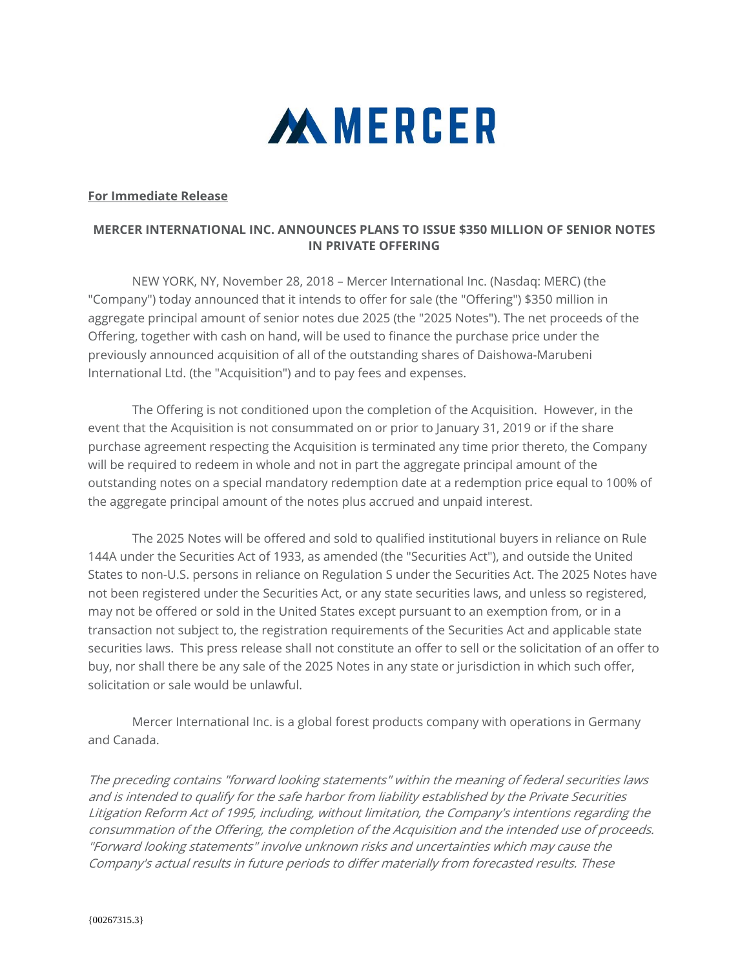

## **For Immediate Release**

## **MERCER INTERNATIONAL INC. ANNOUNCES PLANS TO ISSUE \$350 MILLION OF SENIOR NOTES IN PRIVATE OFFERING**

 NEW YORK, NY, November 28, 2018 – Mercer International Inc. (Nasdaq: MERC) (the "Company") today announced that it intends to offer for sale (the "Offering") \$350 million in aggregate principal amount of senior notes due 2025 (the "2025 Notes"). The net proceeds of the Offering, together with cash on hand, will be used to finance the purchase price under the previously announced acquisition of all of the outstanding shares of Daishowa-Marubeni International Ltd. (the "Acquisition") and to pay fees and expenses.

 The Offering is not conditioned upon the completion of the Acquisition. However, in the event that the Acquisition is not consummated on or prior to January 31, 2019 or if the share purchase agreement respecting the Acquisition is terminated any time prior thereto, the Company will be required to redeem in whole and not in part the aggregate principal amount of the outstanding notes on a special mandatory redemption date at a redemption price equal to 100% of the aggregate principal amount of the notes plus accrued and unpaid interest.

The 2025 Notes will be offered and sold to qualified institutional buyers in reliance on Rule 144A under the Securities Act of 1933, as amended (the "Securities Act"), and outside the United States to non-U.S. persons in reliance on Regulation S under the Securities Act. The 2025 Notes have not been registered under the Securities Act, or any state securities laws, and unless so registered, may not be offered or sold in the United States except pursuant to an exemption from, or in a transaction not subject to, the registration requirements of the Securities Act and applicable state securities laws. This press release shall not constitute an offer to sell or the solicitation of an offer to buy, nor shall there be any sale of the 2025 Notes in any state or jurisdiction in which such offer, solicitation or sale would be unlawful.

Mercer International Inc. is a global forest products company with operations in Germany and Canada.

The preceding contains "forward looking statements" within the meaning of federal securities laws and is intended to qualify for the safe harbor from liability established by the Private Securities Litigation Reform Act of 1995, including, without limitation, the Company's intentions regarding the consummation of the Offering, the completion of the Acquisition and the intended use of proceeds. "Forward looking statements" involve unknown risks and uncertainties which may cause the Company's actual results in future periods to differ materially from forecasted results. These